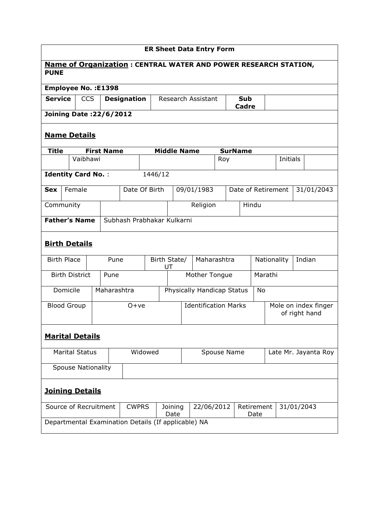| <b>ER Sheet Data Entry Form</b>                                                       |                                |                       |            |                   |                                                     |                    |                             |                    |             |                                       |     |                       |                    |                 |  |            |
|---------------------------------------------------------------------------------------|--------------------------------|-----------------------|------------|-------------------|-----------------------------------------------------|--------------------|-----------------------------|--------------------|-------------|---------------------------------------|-----|-----------------------|--------------------|-----------------|--|------------|
| <b>Name of Organization: CENTRAL WATER AND POWER RESEARCH STATION,</b><br><b>PUNE</b> |                                |                       |            |                   |                                                     |                    |                             |                    |             |                                       |     |                       |                    |                 |  |            |
| Employee No. : E1398                                                                  |                                |                       |            |                   |                                                     |                    |                             |                    |             |                                       |     |                       |                    |                 |  |            |
| <b>Service</b>                                                                        |                                |                       | <b>CCS</b> |                   | <b>Designation</b>                                  |                    |                             |                    |             | Research Assistant                    |     | <b>Sub</b><br>Cadre   |                    |                 |  |            |
|                                                                                       | <b>Joining Date: 22/6/2012</b> |                       |            |                   |                                                     |                    |                             |                    |             |                                       |     |                       |                    |                 |  |            |
|                                                                                       | <b>Name Details</b>            |                       |            |                   |                                                     |                    |                             |                    |             |                                       |     |                       |                    |                 |  |            |
| <b>Title</b>                                                                          |                                |                       |            | <b>First Name</b> |                                                     |                    |                             | <b>Middle Name</b> |             |                                       |     | <b>SurName</b>        |                    |                 |  |            |
|                                                                                       |                                | Vaibhawi              |            |                   |                                                     |                    |                             |                    |             |                                       | Roy |                       |                    | <b>Initials</b> |  |            |
| <b>Identity Card No.:</b>                                                             |                                |                       |            |                   |                                                     | 1446/12            |                             |                    |             |                                       |     |                       |                    |                 |  |            |
| <b>Sex</b>                                                                            |                                | Female                |            |                   | Date Of Birth                                       |                    |                             |                    |             | 09/01/1983                            |     |                       | Date of Retirement |                 |  | 31/01/2043 |
| Community                                                                             |                                |                       |            |                   |                                                     |                    |                             |                    |             | Religion                              |     |                       | Hindu              |                 |  |            |
| <b>Father's Name</b>                                                                  |                                |                       |            |                   | Subhash Prabhakar Kulkarni                          |                    |                             |                    |             |                                       |     |                       |                    |                 |  |            |
|                                                                                       |                                |                       |            |                   |                                                     |                    |                             |                    |             |                                       |     |                       |                    |                 |  |            |
| <b>Birth Details</b>                                                                  |                                |                       |            |                   |                                                     |                    |                             |                    |             |                                       |     |                       |                    |                 |  |            |
| <b>Birth Place</b>                                                                    |                                |                       |            | Pune              |                                                     | Birth State/<br>UT |                             |                    | Maharashtra |                                       |     | Indian<br>Nationality |                    |                 |  |            |
|                                                                                       |                                | <b>Birth District</b> |            | Pune              |                                                     |                    |                             | Mother Tongue      |             |                                       |     | Marathi               |                    |                 |  |            |
|                                                                                       | Domicile                       |                       |            |                   | Maharashtra                                         |                    | Physically Handicap Status  |                    |             |                                       |     | No                    |                    |                 |  |            |
| <b>Blood Group</b>                                                                    |                                |                       |            | $O+ve$            |                                                     |                    | <b>Identification Marks</b> |                    |             | Mole on index finger<br>of right hand |     |                       |                    |                 |  |            |
|                                                                                       |                                |                       |            |                   |                                                     |                    |                             |                    |             |                                       |     |                       |                    |                 |  |            |
| <b>Marital Details</b>                                                                |                                |                       |            |                   |                                                     |                    |                             |                    |             |                                       |     |                       |                    |                 |  |            |
| <b>Marital Status</b>                                                                 |                                |                       |            | Widowed           |                                                     |                    |                             |                    | Spouse Name |                                       |     | Late Mr. Jayanta Roy  |                    |                 |  |            |
|                                                                                       | <b>Spouse Nationality</b>      |                       |            |                   |                                                     |                    |                             |                    |             |                                       |     |                       |                    |                 |  |            |
| <b>Joining Details</b>                                                                |                                |                       |            |                   |                                                     |                    |                             |                    |             |                                       |     |                       |                    |                 |  |            |
| Source of Recruitment                                                                 |                                |                       |            |                   | <b>CWPRS</b>                                        |                    |                             | Joining<br>Date    |             | 22/06/2012                            |     |                       | Retirement<br>Date | 31/01/2043      |  |            |
|                                                                                       |                                |                       |            |                   | Departmental Examination Details (If applicable) NA |                    |                             |                    |             |                                       |     |                       |                    |                 |  |            |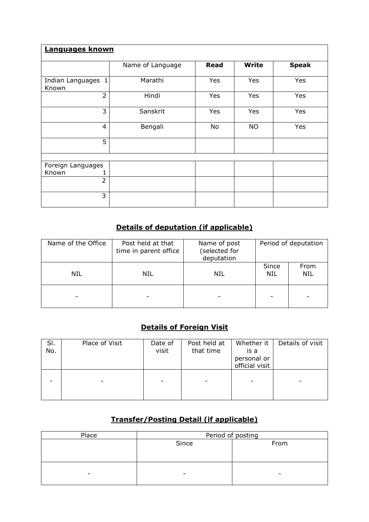| Languages known             |                  |             |              |              |  |  |  |  |  |  |
|-----------------------------|------------------|-------------|--------------|--------------|--|--|--|--|--|--|
|                             | Name of Language | <b>Read</b> | <b>Write</b> | <b>Speak</b> |  |  |  |  |  |  |
| Indian Languages 1<br>Known | Marathi          | Yes         | Yes          | Yes          |  |  |  |  |  |  |
| $\overline{2}$              | Hindi            | Yes         | Yes          | Yes          |  |  |  |  |  |  |
| 3                           | Sanskrit         | Yes         | Yes          | Yes          |  |  |  |  |  |  |
| 4                           | Bengali          | No          | <b>NO</b>    | Yes          |  |  |  |  |  |  |
| 5                           |                  |             |              |              |  |  |  |  |  |  |
|                             |                  |             |              |              |  |  |  |  |  |  |
| Foreign Languages           |                  |             |              |              |  |  |  |  |  |  |
| Known                       |                  |             |              |              |  |  |  |  |  |  |
| $\overline{2}$              |                  |             |              |              |  |  |  |  |  |  |
| 3                           |                  |             |              |              |  |  |  |  |  |  |

## Details of deputation (if applicable)

| Name of the Office | Post held at that<br>time in parent office | Period of deputation<br>Name of post<br>(selected for<br>deputation |                     |             |
|--------------------|--------------------------------------------|---------------------------------------------------------------------|---------------------|-------------|
| NIL                | NIL                                        | NIL                                                                 | Since<br><b>NIL</b> | From<br>NIL |
|                    |                                            |                                                                     |                     |             |

## Details of Foreign Visit

| SI.<br>No. | Place of Visit | Date of<br>visit | Post held at<br>that time | Whether it<br>is a<br>personal or<br>official visit | Details of visit |
|------------|----------------|------------------|---------------------------|-----------------------------------------------------|------------------|
|            |                |                  |                           |                                                     |                  |

## Transfer/Posting Detail (if applicable)

| Place | Period of posting        |      |  |  |  |  |  |
|-------|--------------------------|------|--|--|--|--|--|
|       | Since                    | From |  |  |  |  |  |
|       |                          |      |  |  |  |  |  |
|       |                          |      |  |  |  |  |  |
|       |                          |      |  |  |  |  |  |
| -     | $\overline{\phantom{0}}$ |      |  |  |  |  |  |
|       |                          |      |  |  |  |  |  |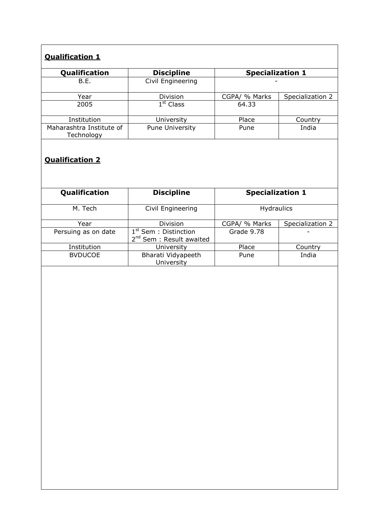# Qualification 1

| Qualification                          | <b>Discipline</b>      | <b>Specialization 1</b> |                  |  |
|----------------------------------------|------------------------|-------------------------|------------------|--|
| B.E.                                   | Civil Engineering      |                         |                  |  |
| Year                                   | Division               | CGPA/ % Marks           | Specialization 2 |  |
| 2005                                   | $1st$ Class            | 64.33                   |                  |  |
| Institution                            | University             | Place                   | Country          |  |
| Maharashtra Institute of<br>Technology | <b>Pune University</b> | Pune                    | India            |  |

#### Qualification 2

| Qualification       | <b>Discipline</b>                                               | <b>Specialization 1</b> |                  |  |  |
|---------------------|-----------------------------------------------------------------|-------------------------|------------------|--|--|
| M. Tech             | Civil Engineering                                               | <b>Hydraulics</b>       |                  |  |  |
| Year                | <b>Division</b>                                                 | CGPA/ % Marks           | Specialization 2 |  |  |
| Persuing as on date | $1st$ Sem : Distinction<br>2 <sup>nd</sup> Sem : Result awaited | Grade 9.78              |                  |  |  |
| Institution         | University                                                      | Place                   | Country          |  |  |
| <b>BVDUCOE</b>      | Bharati Vidyapeeth<br>University                                | Pune                    | India            |  |  |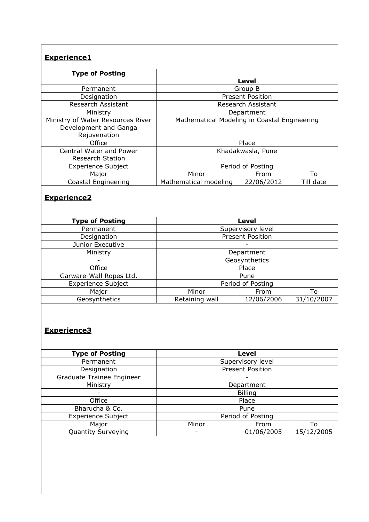| <b>Experience1</b>                                                         |                                              |                         |            |  |  |  |  |  |
|----------------------------------------------------------------------------|----------------------------------------------|-------------------------|------------|--|--|--|--|--|
| <b>Type of Posting</b>                                                     | <b>Level</b>                                 |                         |            |  |  |  |  |  |
| Permanent                                                                  | Group B                                      |                         |            |  |  |  |  |  |
| Designation                                                                |                                              | <b>Present Position</b> |            |  |  |  |  |  |
| Research Assistant                                                         |                                              | Research Assistant      |            |  |  |  |  |  |
| Ministry                                                                   |                                              | Department              |            |  |  |  |  |  |
| Ministry of Water Resources River<br>Development and Ganga<br>Rejuvenation | Mathematical Modeling in Coastal Engineering |                         |            |  |  |  |  |  |
| Office                                                                     |                                              | Place                   |            |  |  |  |  |  |
| <b>Central Water and Power</b><br><b>Research Station</b>                  |                                              | Khadakwasla, Pune       |            |  |  |  |  |  |
| <b>Experience Subject</b>                                                  |                                              | Period of Posting       |            |  |  |  |  |  |
| Major                                                                      | Minor                                        | From                    | To         |  |  |  |  |  |
| Coastal Engineering                                                        | Mathematical modeling                        | 22/06/2012              | Till date  |  |  |  |  |  |
| <b>Experience2</b><br><b>Type of Posting</b>                               |                                              | <b>Level</b>            |            |  |  |  |  |  |
| Permanent                                                                  |                                              | Supervisory level       |            |  |  |  |  |  |
| Designation                                                                |                                              | <b>Present Position</b> |            |  |  |  |  |  |
| Junior Executive                                                           |                                              |                         |            |  |  |  |  |  |
| Ministry                                                                   |                                              | Department              |            |  |  |  |  |  |
|                                                                            |                                              | Geosynthetics           |            |  |  |  |  |  |
| Office                                                                     |                                              | Place                   |            |  |  |  |  |  |
| Garware-Wall Ropes Ltd.                                                    |                                              | Pune                    |            |  |  |  |  |  |
| <b>Experience Subject</b>                                                  | Period of Posting                            |                         |            |  |  |  |  |  |
| Major                                                                      | Minor                                        | From                    | To         |  |  |  |  |  |
| Geosynthetics                                                              | Retaining wall                               | 12/06/2006              | 31/10/2007 |  |  |  |  |  |
| <b>Experience3</b>                                                         |                                              |                         |            |  |  |  |  |  |
| <b>Type of Posting</b>                                                     |                                              | <b>Level</b>            |            |  |  |  |  |  |
| Permanent                                                                  |                                              | Supervisory level       |            |  |  |  |  |  |
| Designation                                                                |                                              | <b>Present Position</b> |            |  |  |  |  |  |
| Graduate Trainee Engineer                                                  |                                              |                         |            |  |  |  |  |  |
| Ministry                                                                   | Department                                   |                         |            |  |  |  |  |  |
|                                                                            | <b>Billing</b>                               |                         |            |  |  |  |  |  |
| Office<br>Bharucha & Co.                                                   |                                              | Place<br>Pune           |            |  |  |  |  |  |
| <b>Experience Subject</b>                                                  |                                              | Period of Posting       |            |  |  |  |  |  |
| Major                                                                      | Minor                                        | To                      |            |  |  |  |  |  |
| <b>Quantity Surveying</b>                                                  |                                              | From<br>01/06/2005      | 15/12/2005 |  |  |  |  |  |
|                                                                            |                                              |                         |            |  |  |  |  |  |